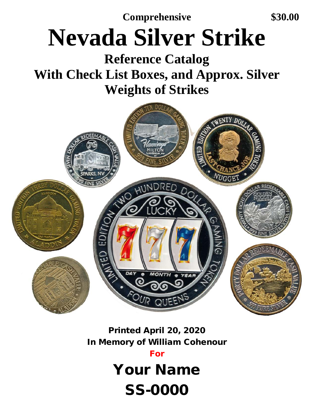**Comprehensive \$30.00**

# **Nevada Silver Strike**

## **Reference Catalog <br>With Check List Boxes, and Approx. Silver Weights of Strikes**



### Printed April 20, 2020 In Memory of William Cohenour

For

Your Name

SS-0000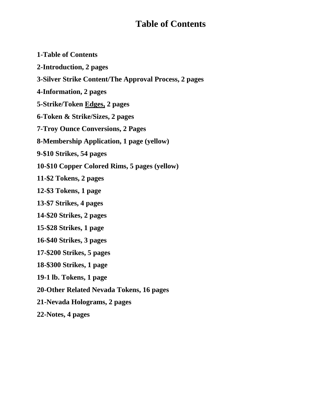#### **Table of Contents**

| <b>1-Table of Contents</b>                            |
|-------------------------------------------------------|
| 2-Introduction, 2 pages                               |
| 3-Silver Strike Content/The Approval Process, 2 pages |
| 4-Information, 2 pages                                |
| 5-Strike/Token Edges, 2 pages                         |
| 6-Token & Strike/Sizes, 2 pages                       |
| <b>7-Troy Ounce Conversions, 2 Pages</b>              |
| <b>8-Membership Application, 1 page (yellow)</b>      |
| 9-\$10 Strikes, 54 pages                              |
| 10-\$10 Copper Colored Rims, 5 pages (yellow)         |
| 11-\$2 Tokens, 2 pages                                |
| 12-\$3 Tokens, 1 page                                 |
| 13-\$7 Strikes, 4 pages                               |
| 14-\$20 Strikes, 2 pages                              |
| 15-\$28 Strikes, 1 page                               |
| 16-\$40 Strikes, 3 pages                              |
| 17-\$200 Strikes, 5 pages                             |
| 18-\$300 Strikes, 1 page                              |
| 19-1 lb. Tokens, 1 page                               |
| 20-Other Related Nevada Tokens, 16 pages              |
| 21-Nevada Holograms, 2 pages                          |
|                                                       |

**22-Notes, 4 pages**